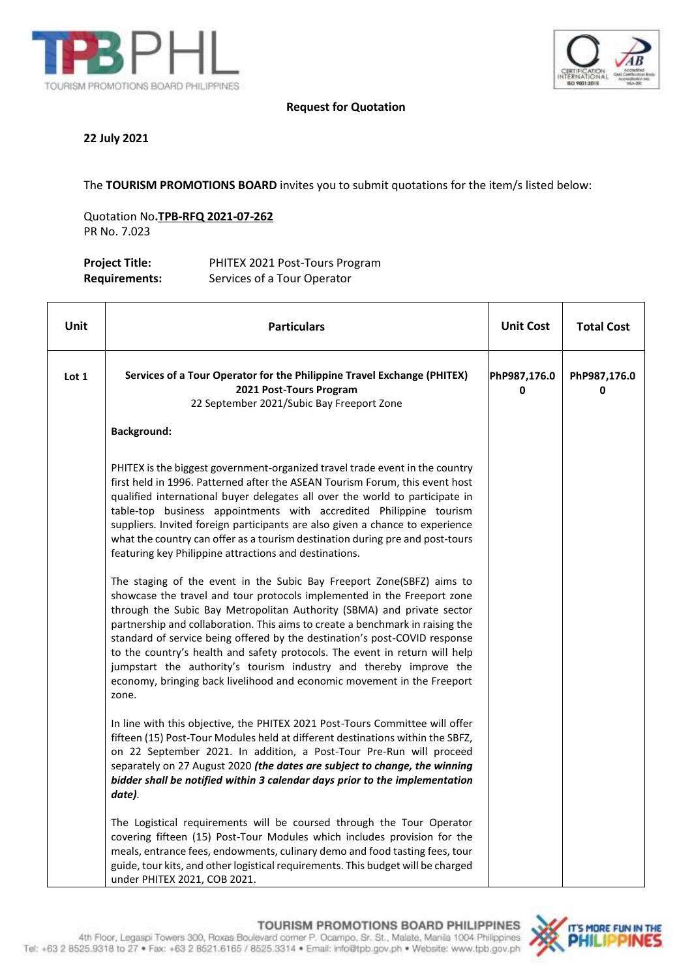



#### **Request for Quotation**

#### **22 July 2021**

The **TOURISM PROMOTIONS BOARD** invites you to submit quotations for the item/s listed below:

Quotation No**.TPB-RFQ 2021-07-262** PR No. 7.023

| <b>Project Title:</b> | PHITEX 2021 Post-Tours Program |
|-----------------------|--------------------------------|
| <b>Requirements:</b>  | Services of a Tour Operator    |

| Unit  | <b>Particulars</b>                                                                                                                                                                                                                                                                                                                                                                                                                                                                                                                                                                                                                                                                                                                                                                                                                                                                                                                                                                                                                                                                                                                                                                   | <b>Unit Cost</b>  | <b>Total Cost</b> |
|-------|--------------------------------------------------------------------------------------------------------------------------------------------------------------------------------------------------------------------------------------------------------------------------------------------------------------------------------------------------------------------------------------------------------------------------------------------------------------------------------------------------------------------------------------------------------------------------------------------------------------------------------------------------------------------------------------------------------------------------------------------------------------------------------------------------------------------------------------------------------------------------------------------------------------------------------------------------------------------------------------------------------------------------------------------------------------------------------------------------------------------------------------------------------------------------------------|-------------------|-------------------|
| Lot 1 | Services of a Tour Operator for the Philippine Travel Exchange (PHITEX)<br>2021 Post-Tours Program<br>22 September 2021/Subic Bay Freeport Zone                                                                                                                                                                                                                                                                                                                                                                                                                                                                                                                                                                                                                                                                                                                                                                                                                                                                                                                                                                                                                                      | PhP987,176.0<br>0 | PhP987,176.0<br>0 |
|       | <b>Background:</b>                                                                                                                                                                                                                                                                                                                                                                                                                                                                                                                                                                                                                                                                                                                                                                                                                                                                                                                                                                                                                                                                                                                                                                   |                   |                   |
|       | PHITEX is the biggest government-organized travel trade event in the country<br>first held in 1996. Patterned after the ASEAN Tourism Forum, this event host<br>qualified international buyer delegates all over the world to participate in<br>table-top business appointments with accredited Philippine tourism<br>suppliers. Invited foreign participants are also given a chance to experience<br>what the country can offer as a tourism destination during pre and post-tours<br>featuring key Philippine attractions and destinations.<br>The staging of the event in the Subic Bay Freeport Zone(SBFZ) aims to<br>showcase the travel and tour protocols implemented in the Freeport zone<br>through the Subic Bay Metropolitan Authority (SBMA) and private sector<br>partnership and collaboration. This aims to create a benchmark in raising the<br>standard of service being offered by the destination's post-COVID response<br>to the country's health and safety protocols. The event in return will help<br>jumpstart the authority's tourism industry and thereby improve the<br>economy, bringing back livelihood and economic movement in the Freeport<br>zone. |                   |                   |
|       | In line with this objective, the PHITEX 2021 Post-Tours Committee will offer<br>fifteen (15) Post-Tour Modules held at different destinations within the SBFZ,<br>on 22 September 2021. In addition, a Post-Tour Pre-Run will proceed<br>separately on 27 August 2020 (the dates are subject to change, the winning<br>bidder shall be notified within 3 calendar days prior to the implementation<br>date).                                                                                                                                                                                                                                                                                                                                                                                                                                                                                                                                                                                                                                                                                                                                                                         |                   |                   |
|       | The Logistical requirements will be coursed through the Tour Operator<br>covering fifteen (15) Post-Tour Modules which includes provision for the<br>meals, entrance fees, endowments, culinary demo and food tasting fees, tour<br>guide, tour kits, and other logistical requirements. This budget will be charged<br>under PHITEX 2021, COB 2021.                                                                                                                                                                                                                                                                                                                                                                                                                                                                                                                                                                                                                                                                                                                                                                                                                                 |                   |                   |

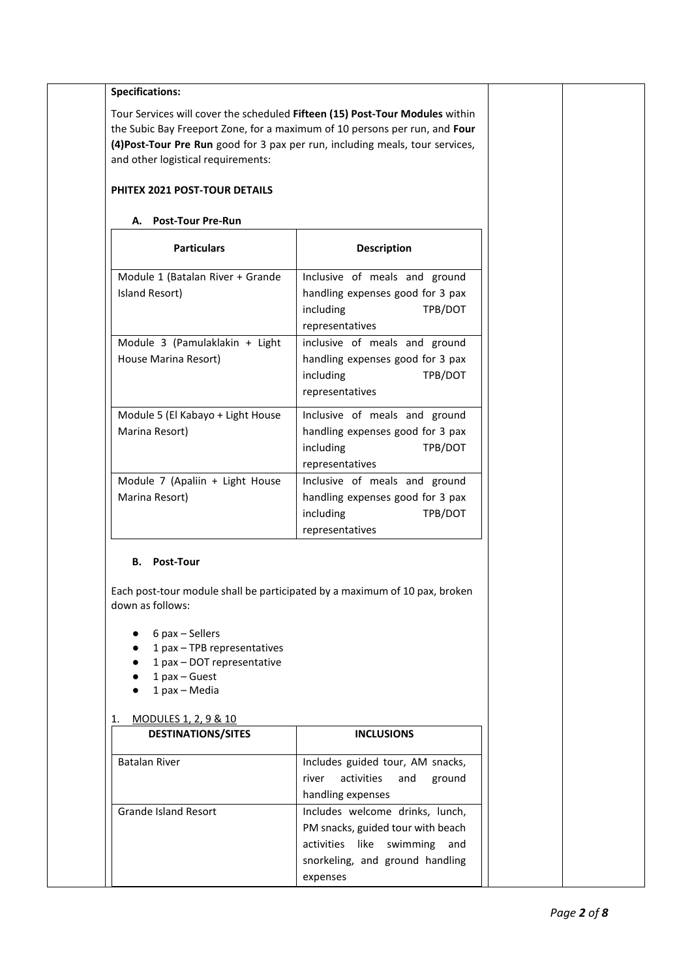| and other logistical requirements:                                                                                     | Tour Services will cover the scheduled Fifteen (15) Post-Tour Modules within<br>the Subic Bay Freeport Zone, for a maximum of 10 persons per run, and Four<br>(4) Post-Tour Pre Run good for 3 pax per run, including meals, tour services, |  |
|------------------------------------------------------------------------------------------------------------------------|---------------------------------------------------------------------------------------------------------------------------------------------------------------------------------------------------------------------------------------------|--|
| PHITEX 2021 POST-TOUR DETAILS                                                                                          |                                                                                                                                                                                                                                             |  |
| A. Post-Tour Pre-Run                                                                                                   |                                                                                                                                                                                                                                             |  |
| <b>Particulars</b>                                                                                                     | Description                                                                                                                                                                                                                                 |  |
| Module 1 (Batalan River + Grande<br>Island Resort)                                                                     | Inclusive of meals and ground<br>handling expenses good for 3 pax<br>including<br>TPB/DOT<br>representatives                                                                                                                                |  |
| Module 3 (Pamulaklakin + Light<br>House Marina Resort)                                                                 | inclusive of meals and ground<br>handling expenses good for 3 pax<br>including<br>TPB/DOT<br>representatives                                                                                                                                |  |
| Module 5 (El Kabayo + Light House<br>Marina Resort)                                                                    | Inclusive of meals and ground<br>handling expenses good for 3 pax<br>including<br>TPB/DOT<br>representatives                                                                                                                                |  |
| Module 7 (Apaliin + Light House<br>Marina Resort)                                                                      | Inclusive of meals and ground<br>handling expenses good for 3 pax<br>TPB/DOT<br>including<br>representatives                                                                                                                                |  |
| <b>B.</b> Post-Tour<br>down as follows:                                                                                | Each post-tour module shall be participated by a maximum of 10 pax, broken                                                                                                                                                                  |  |
| $6$ pax $-$ Sellers<br>1 pax - TPB representatives<br>1 pax - DOT representative<br>$1$ pax $-$ Guest<br>1 pax - Media |                                                                                                                                                                                                                                             |  |
| MODULES 1, 2, 9 & 10<br>1.<br><b>DESTINATIONS/SITES</b>                                                                | <b>INCLUSIONS</b>                                                                                                                                                                                                                           |  |
| <b>Batalan River</b>                                                                                                   | Includes guided tour, AM snacks,<br>activities<br>and<br>ground<br>river<br>handling expenses                                                                                                                                               |  |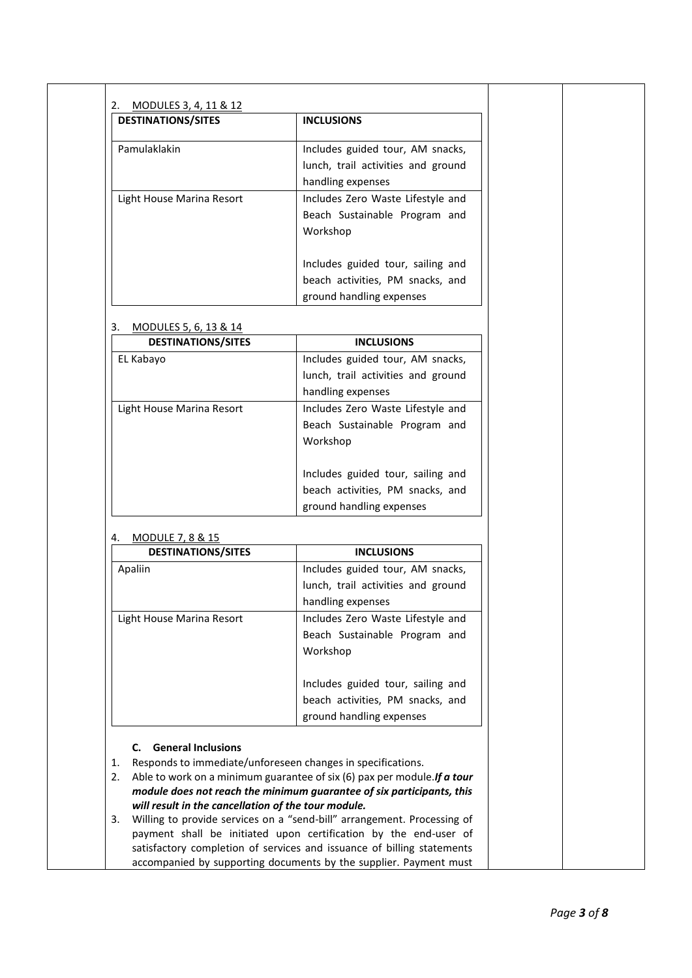| <b>DESTINATIONS/SITES</b>                                         | <b>INCLUSIONS</b>                                                                                                                           |  |
|-------------------------------------------------------------------|---------------------------------------------------------------------------------------------------------------------------------------------|--|
|                                                                   |                                                                                                                                             |  |
| Pamulaklakin                                                      | Includes guided tour, AM snacks,                                                                                                            |  |
|                                                                   | lunch, trail activities and ground                                                                                                          |  |
|                                                                   | handling expenses                                                                                                                           |  |
| Light House Marina Resort                                         | Includes Zero Waste Lifestyle and                                                                                                           |  |
|                                                                   | Beach Sustainable Program and                                                                                                               |  |
|                                                                   | Workshop                                                                                                                                    |  |
|                                                                   | Includes guided tour, sailing and                                                                                                           |  |
|                                                                   | beach activities, PM snacks, and                                                                                                            |  |
|                                                                   | ground handling expenses                                                                                                                    |  |
| MODULES 5, 6, 13 & 14<br>3.                                       |                                                                                                                                             |  |
| <b>DESTINATIONS/SITES</b>                                         | <b>INCLUSIONS</b>                                                                                                                           |  |
| EL Kabayo                                                         | Includes guided tour, AM snacks,                                                                                                            |  |
|                                                                   | lunch, trail activities and ground                                                                                                          |  |
|                                                                   | handling expenses                                                                                                                           |  |
| Light House Marina Resort                                         | Includes Zero Waste Lifestyle and                                                                                                           |  |
|                                                                   | Beach Sustainable Program and                                                                                                               |  |
|                                                                   | Workshop                                                                                                                                    |  |
|                                                                   | Includes guided tour, sailing and                                                                                                           |  |
|                                                                   | beach activities, PM snacks, and                                                                                                            |  |
|                                                                   |                                                                                                                                             |  |
|                                                                   |                                                                                                                                             |  |
|                                                                   | ground handling expenses                                                                                                                    |  |
| <b>MODULE 7, 8 &amp; 15</b>                                       |                                                                                                                                             |  |
| <b>DESTINATIONS/SITES</b>                                         | <b>INCLUSIONS</b>                                                                                                                           |  |
| Apaliin                                                           | Includes guided tour, AM snacks,                                                                                                            |  |
|                                                                   | lunch, trail activities and ground                                                                                                          |  |
| 4.                                                                | handling expenses                                                                                                                           |  |
| Light House Marina Resort                                         | Includes Zero Waste Lifestyle and                                                                                                           |  |
|                                                                   | Beach Sustainable Program and                                                                                                               |  |
|                                                                   | Workshop                                                                                                                                    |  |
|                                                                   | Includes guided tour, sailing and                                                                                                           |  |
|                                                                   | beach activities, PM snacks, and                                                                                                            |  |
|                                                                   | ground handling expenses                                                                                                                    |  |
|                                                                   |                                                                                                                                             |  |
| <b>General Inclusions</b><br>C.                                   |                                                                                                                                             |  |
| Responds to immediate/unforeseen changes in specifications.<br>1. |                                                                                                                                             |  |
|                                                                   | 2. Able to work on a minimum guarantee of six (6) pax per module. If a tour                                                                 |  |
| will result in the cancellation of the tour module.               | module does not reach the minimum guarantee of six participants, this                                                                       |  |
|                                                                   | Willing to provide services on a "send-bill" arrangement. Processing of                                                                     |  |
| 3.                                                                | payment shall be initiated upon certification by the end-user of                                                                            |  |
|                                                                   | satisfactory completion of services and issuance of billing statements<br>accompanied by supporting documents by the supplier. Payment must |  |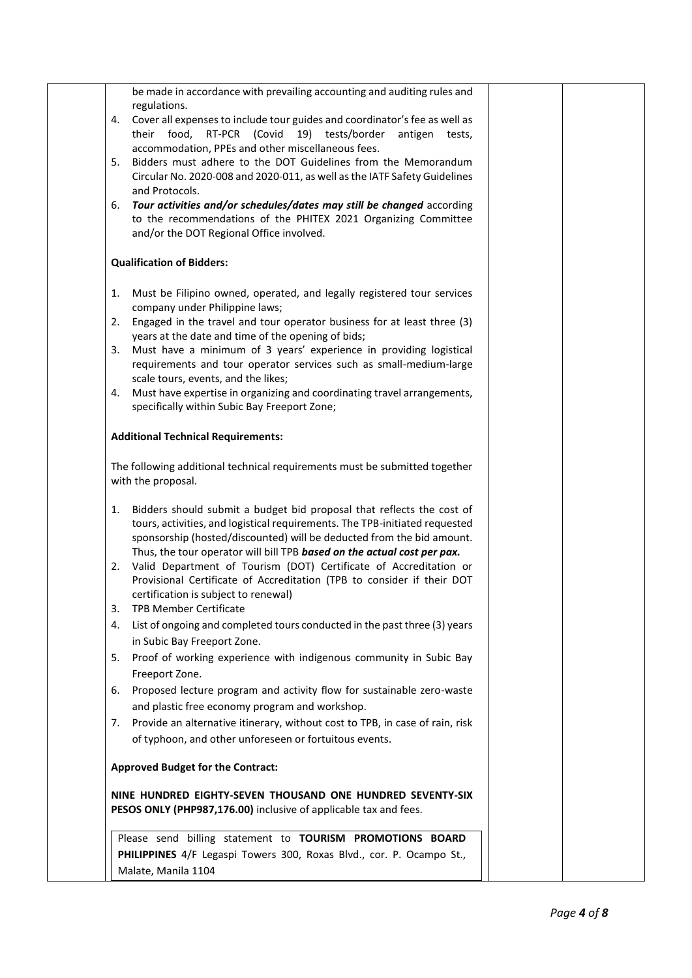|    | be made in accordance with prevailing accounting and auditing rules and                                                                          |  |
|----|--------------------------------------------------------------------------------------------------------------------------------------------------|--|
|    | regulations.                                                                                                                                     |  |
| 4. | Cover all expenses to include tour guides and coordinator's fee as well as                                                                       |  |
|    | their food, RT-PCR (Covid 19) tests/border<br>antigen tests,<br>accommodation, PPEs and other miscellaneous fees.                                |  |
| 5. | Bidders must adhere to the DOT Guidelines from the Memorandum                                                                                    |  |
|    | Circular No. 2020-008 and 2020-011, as well as the IATF Safety Guidelines                                                                        |  |
|    | and Protocols.                                                                                                                                   |  |
| 6. | Tour activities and/or schedules/dates may still be changed according                                                                            |  |
|    | to the recommendations of the PHITEX 2021 Organizing Committee                                                                                   |  |
|    | and/or the DOT Regional Office involved.                                                                                                         |  |
|    | <b>Qualification of Bidders:</b>                                                                                                                 |  |
| 1. | Must be Filipino owned, operated, and legally registered tour services                                                                           |  |
|    | company under Philippine laws;                                                                                                                   |  |
| 2. | Engaged in the travel and tour operator business for at least three (3)                                                                          |  |
|    | years at the date and time of the opening of bids;                                                                                               |  |
| 3. | Must have a minimum of 3 years' experience in providing logistical<br>requirements and tour operator services such as small-medium-large         |  |
|    | scale tours, events, and the likes;                                                                                                              |  |
| 4. | Must have expertise in organizing and coordinating travel arrangements,                                                                          |  |
|    | specifically within Subic Bay Freeport Zone;                                                                                                     |  |
|    | <b>Additional Technical Requirements:</b>                                                                                                        |  |
|    | The following additional technical requirements must be submitted together                                                                       |  |
|    | with the proposal.                                                                                                                               |  |
|    |                                                                                                                                                  |  |
| 1. | Bidders should submit a budget bid proposal that reflects the cost of                                                                            |  |
|    | tours, activities, and logistical requirements. The TPB-initiated requested                                                                      |  |
|    | sponsorship (hosted/discounted) will be deducted from the bid amount.<br>Thus, the tour operator will bill TPB based on the actual cost per pax. |  |
| 2. | Valid Department of Tourism (DOT) Certificate of Accreditation or                                                                                |  |
|    | Provisional Certificate of Accreditation (TPB to consider if their DOT                                                                           |  |
|    | certification is subject to renewal)                                                                                                             |  |
| 3. | <b>TPB Member Certificate</b>                                                                                                                    |  |
| 4. | List of ongoing and completed tours conducted in the past three (3) years                                                                        |  |
|    | in Subic Bay Freeport Zone.                                                                                                                      |  |
| 5. | Proof of working experience with indigenous community in Subic Bay                                                                               |  |
|    | Freeport Zone.                                                                                                                                   |  |
| 6. | Proposed lecture program and activity flow for sustainable zero-waste                                                                            |  |
|    | and plastic free economy program and workshop.                                                                                                   |  |
| 7. | Provide an alternative itinerary, without cost to TPB, in case of rain, risk                                                                     |  |
|    | of typhoon, and other unforeseen or fortuitous events.                                                                                           |  |
|    | <b>Approved Budget for the Contract:</b>                                                                                                         |  |
|    | NINE HUNDRED EIGHTY-SEVEN THOUSAND ONE HUNDRED SEVENTY-SIX                                                                                       |  |
|    | PESOS ONLY (PHP987,176.00) inclusive of applicable tax and fees.                                                                                 |  |
|    | Please send billing statement to TOURISM PROMOTIONS BOARD                                                                                        |  |
|    | PHILIPPINES 4/F Legaspi Towers 300, Roxas Blvd., cor. P. Ocampo St.,                                                                             |  |
|    | Malate, Manila 1104                                                                                                                              |  |
|    |                                                                                                                                                  |  |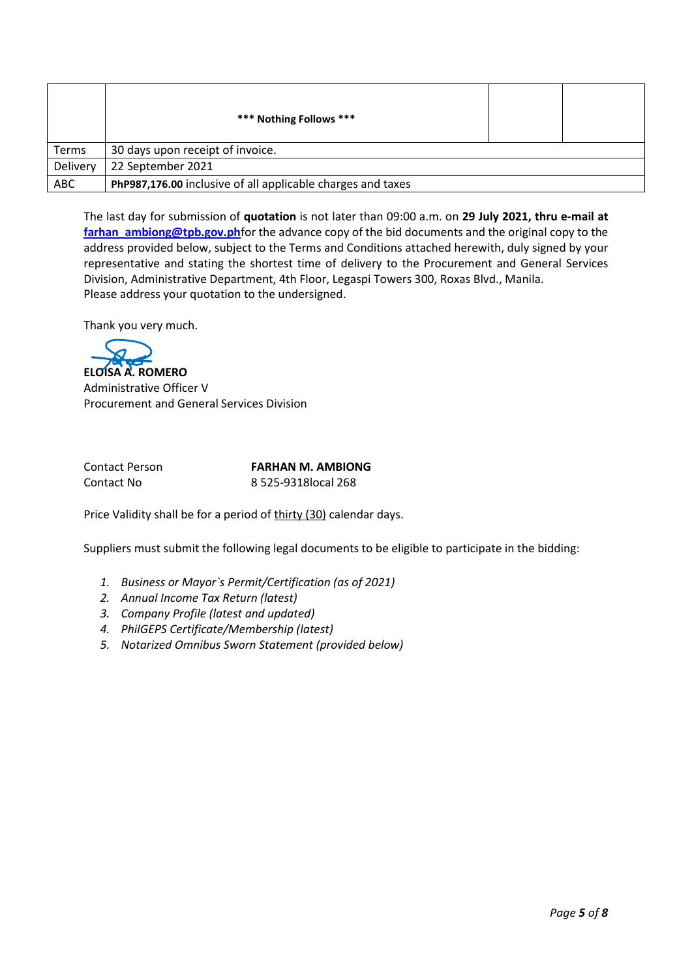|            | *** Nothing Follows ***                                     |  |
|------------|-------------------------------------------------------------|--|
| Terms      | 30 days upon receipt of invoice.                            |  |
| Delivery   | 22 September 2021                                           |  |
| <b>ABC</b> | PhP987,176.00 inclusive of all applicable charges and taxes |  |

The last day for submission of **quotation** is not later than 09:00 a.m. on **29 July 2021, thru e-mail at [farhan\\_ambiong@tpb.gov.ph](mailto:farhan_ambiong@tpb.gov.ph)**for the advance copy of the bid documents and the original copy to the address provided below, subject to the Terms and Conditions attached herewith, duly signed by your representative and stating the shortest time of delivery to the Procurement and General Services Division, Administrative Department, 4th Floor, Legaspi Towers 300, Roxas Blvd., Manila. Please address your quotation to the undersigned.

Thank you very much.

**ELOISA A. ROMERO**

Administrative Officer V Procurement and General Services Division

Contact Person **FARHAN M. AMBIONG** Contact No 8 525-9318local 268

Price Validity shall be for a period of thirty (30) calendar days.

Suppliers must submit the following legal documents to be eligible to participate in the bidding:

- *1. Business or Mayor`s Permit/Certification (as of 2021)*
- *2. Annual Income Tax Return (latest)*
- *3. Company Profile (latest and updated)*
- *4. PhilGEPS Certificate/Membership (latest)*
- *5. Notarized Omnibus Sworn Statement (provided below)*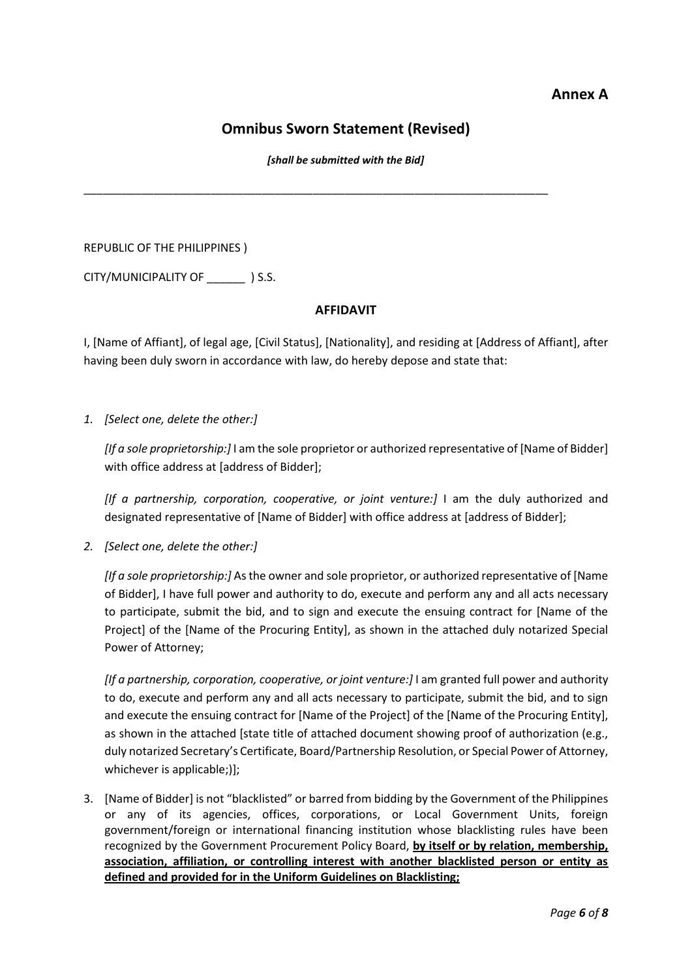## **Annex A**

# **Omnibus Sworn Statement (Revised)**

*[shall be submitted with the Bid]*

\_\_\_\_\_\_\_\_\_\_\_\_\_\_\_\_\_\_\_\_\_\_\_\_\_\_\_\_\_\_\_\_\_\_\_\_\_\_\_\_\_\_\_\_\_\_\_\_\_\_\_\_\_\_\_\_\_\_\_\_\_\_\_\_\_\_\_\_\_\_\_\_\_

REPUBLIC OF THE PHILIPPINES )

CITY/MUNICIPALITY OF \_\_\_\_\_\_ ) S.S.

### **AFFIDAVIT**

I, [Name of Affiant], of legal age, [Civil Status], [Nationality], and residing at [Address of Affiant], after having been duly sworn in accordance with law, do hereby depose and state that:

*1. [Select one, delete the other:]*

*[If a sole proprietorship:]* I am the sole proprietor or authorized representative of [Name of Bidder] with office address at [address of Bidder];

*[If a partnership, corporation, cooperative, or joint venture:]* I am the duly authorized and designated representative of [Name of Bidder] with office address at [address of Bidder];

*2. [Select one, delete the other:]*

*[If a sole proprietorship:]* As the owner and sole proprietor, or authorized representative of [Name of Bidder], I have full power and authority to do, execute and perform any and all acts necessary to participate, submit the bid, and to sign and execute the ensuing contract for [Name of the Project] of the [Name of the Procuring Entity], as shown in the attached duly notarized Special Power of Attorney;

*[If a partnership, corporation, cooperative, or joint venture:]* I am granted full power and authority to do, execute and perform any and all acts necessary to participate, submit the bid, and to sign and execute the ensuing contract for [Name of the Project] of the [Name of the Procuring Entity], as shown in the attached [state title of attached document showing proof of authorization (e.g., duly notarized Secretary's Certificate, Board/Partnership Resolution, or Special Power of Attorney, whichever is applicable;)];

3. [Name of Bidder] is not "blacklisted" or barred from bidding by the Government of the Philippines or any of its agencies, offices, corporations, or Local Government Units, foreign government/foreign or international financing institution whose blacklisting rules have been recognized by the Government Procurement Policy Board, **by itself or by relation, membership, association, affiliation, or controlling interest with another blacklisted person or entity as defined and provided for in the Uniform Guidelines on Blacklisting;**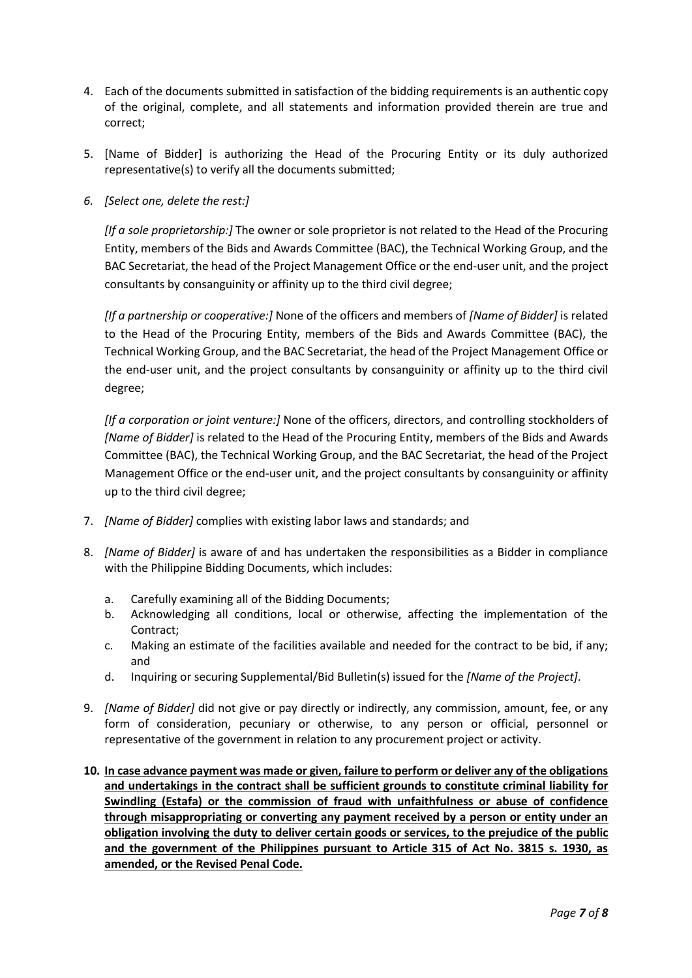- 4. Each of the documents submitted in satisfaction of the bidding requirements is an authentic copy of the original, complete, and all statements and information provided therein are true and correct;
- 5. [Name of Bidder] is authorizing the Head of the Procuring Entity or its duly authorized representative(s) to verify all the documents submitted;
- *6. [Select one, delete the rest:]*

*[If a sole proprietorship:]* The owner or sole proprietor is not related to the Head of the Procuring Entity, members of the Bids and Awards Committee (BAC), the Technical Working Group, and the BAC Secretariat, the head of the Project Management Office or the end-user unit, and the project consultants by consanguinity or affinity up to the third civil degree;

*[If a partnership or cooperative:]* None of the officers and members of *[Name of Bidder]* is related to the Head of the Procuring Entity, members of the Bids and Awards Committee (BAC), the Technical Working Group, and the BAC Secretariat, the head of the Project Management Office or the end-user unit, and the project consultants by consanguinity or affinity up to the third civil degree;

*[If a corporation or joint venture:]* None of the officers, directors, and controlling stockholders of *[Name of Bidder]* is related to the Head of the Procuring Entity, members of the Bids and Awards Committee (BAC), the Technical Working Group, and the BAC Secretariat, the head of the Project Management Office or the end-user unit, and the project consultants by consanguinity or affinity up to the third civil degree;

- 7. *[Name of Bidder]* complies with existing labor laws and standards; and
- 8. *[Name of Bidder]* is aware of and has undertaken the responsibilities as a Bidder in compliance with the Philippine Bidding Documents, which includes:
	- a. Carefully examining all of the Bidding Documents;
	- b. Acknowledging all conditions, local or otherwise, affecting the implementation of the Contract;
	- c. Making an estimate of the facilities available and needed for the contract to be bid, if any; and
	- d. Inquiring or securing Supplemental/Bid Bulletin(s) issued for the *[Name of the Project]*.
- 9. *[Name of Bidder]* did not give or pay directly or indirectly, any commission, amount, fee, or any form of consideration, pecuniary or otherwise, to any person or official, personnel or representative of the government in relation to any procurement project or activity.
- **10. In case advance payment was made or given, failure to perform or deliver any of the obligations and undertakings in the contract shall be sufficient grounds to constitute criminal liability for Swindling (Estafa) or the commission of fraud with unfaithfulness or abuse of confidence through misappropriating or converting any payment received by a person or entity under an obligation involving the duty to deliver certain goods or services, to the prejudice of the public and the government of the Philippines pursuant to Article 315 of Act No. 3815 s. 1930, as amended, or the Revised Penal Code.**